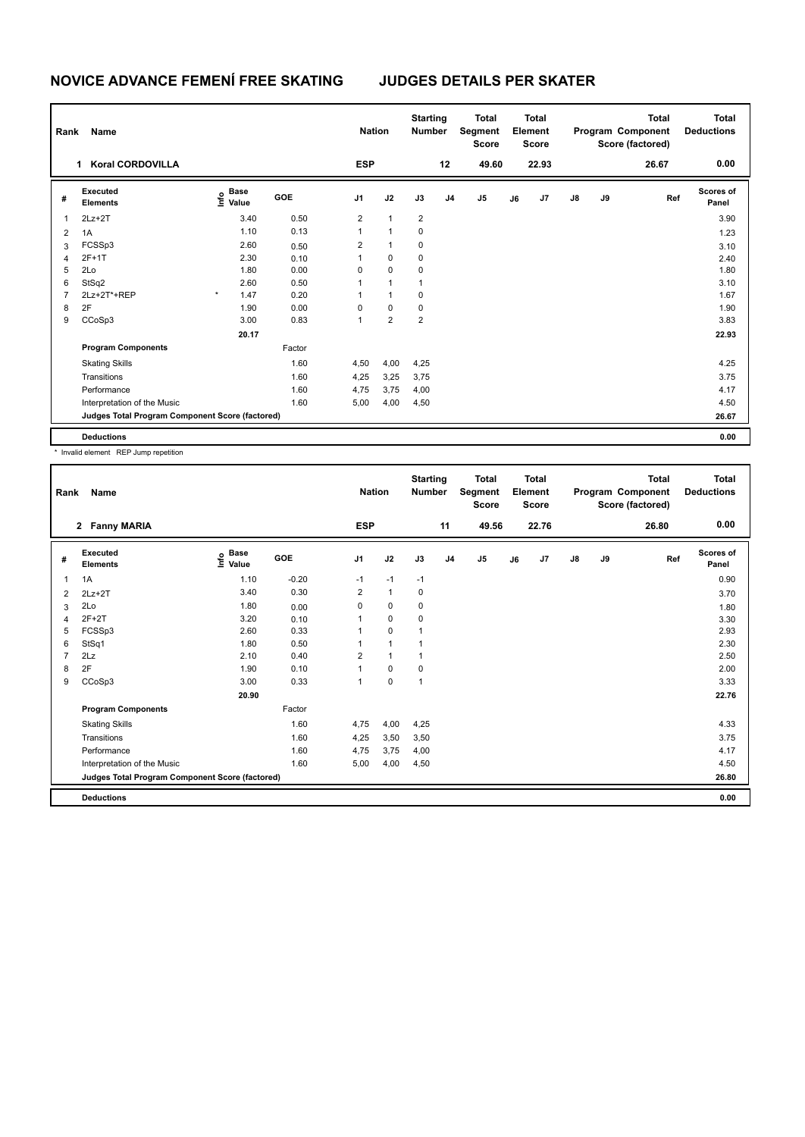| Rank           | Name                                            |                                  |        | <b>Nation</b>           |                         | <b>Starting</b><br><b>Number</b> |                | <b>Total</b><br>Segment<br><b>Score</b> |    | <b>Total</b><br>Element<br><b>Score</b> |               |    | <b>Total</b><br>Program Component<br>Score (factored) | <b>Total</b><br><b>Deductions</b> |
|----------------|-------------------------------------------------|----------------------------------|--------|-------------------------|-------------------------|----------------------------------|----------------|-----------------------------------------|----|-----------------------------------------|---------------|----|-------------------------------------------------------|-----------------------------------|
|                | <b>Koral CORDOVILLA</b><br>1                    |                                  |        | <b>ESP</b>              |                         |                                  | 12             | 49.60                                   |    | 22.93                                   |               |    | 26.67                                                 | 0.00                              |
| #              | Executed<br><b>Elements</b>                     | <b>Base</b><br>o Base<br>⊆ Value | GOE    | J1                      | J2                      | J3                               | J <sub>4</sub> | J <sub>5</sub>                          | J6 | J <sub>7</sub>                          | $\mathsf{J}8$ | J9 | Ref                                                   | Scores of<br>Panel                |
| 1              | $2Lz+2T$                                        | 3.40                             | 0.50   | $\overline{\mathbf{c}}$ | $\mathbf{1}$            | $\overline{2}$                   |                |                                         |    |                                         |               |    |                                                       | 3.90                              |
| 2              | 1A                                              | 1.10                             | 0.13   | 1                       | $\mathbf{1}$            | 0                                |                |                                         |    |                                         |               |    |                                                       | 1.23                              |
| 3              | FCSSp3                                          | 2.60                             | 0.50   | $\overline{2}$          | $\mathbf{1}$            | 0                                |                |                                         |    |                                         |               |    |                                                       | 3.10                              |
| 4              | 2F+1T                                           | 2.30                             | 0.10   | 1                       | 0                       | 0                                |                |                                         |    |                                         |               |    |                                                       | 2.40                              |
| 5              | 2Lo                                             | 1.80                             | 0.00   | 0                       | 0                       | 0                                |                |                                         |    |                                         |               |    |                                                       | 1.80                              |
| 6              | StSq2                                           | 2.60                             | 0.50   |                         | 1                       | 1                                |                |                                         |    |                                         |               |    |                                                       | 3.10                              |
| $\overline{7}$ | 2Lz+2T*+REP                                     | 1.47<br>$\star$                  | 0.20   | 1                       | $\mathbf{1}$            | 0                                |                |                                         |    |                                         |               |    |                                                       | 1.67                              |
| 8              | 2F                                              | 1.90                             | 0.00   | 0                       | 0                       | 0                                |                |                                         |    |                                         |               |    |                                                       | 1.90                              |
| 9              | CCoSp3                                          | 3.00                             | 0.83   | 1                       | $\overline{\mathbf{c}}$ | $\overline{\mathbf{c}}$          |                |                                         |    |                                         |               |    |                                                       | 3.83                              |
|                |                                                 | 20.17                            |        |                         |                         |                                  |                |                                         |    |                                         |               |    |                                                       | 22.93                             |
|                | <b>Program Components</b>                       |                                  | Factor |                         |                         |                                  |                |                                         |    |                                         |               |    |                                                       |                                   |
|                | <b>Skating Skills</b>                           |                                  | 1.60   | 4,50                    | 4,00                    | 4,25                             |                |                                         |    |                                         |               |    |                                                       | 4.25                              |
|                | Transitions                                     |                                  | 1.60   | 4,25                    | 3,25                    | 3,75                             |                |                                         |    |                                         |               |    |                                                       | 3.75                              |
|                | Performance                                     |                                  | 1.60   | 4,75                    | 3,75                    | 4,00                             |                |                                         |    |                                         |               |    |                                                       | 4.17                              |
|                | Interpretation of the Music                     |                                  | 1.60   | 5,00                    | 4,00                    | 4,50                             |                |                                         |    |                                         |               |    |                                                       | 4.50                              |
|                | Judges Total Program Component Score (factored) |                                  |        |                         |                         |                                  |                |                                         |    |                                         |               |    |                                                       | 26.67                             |
|                | <b>Deductions</b>                               |                                  |        |                         |                         |                                  |                |                                         |    |                                         |               |    |                                                       | 0.00                              |

\* Invalid element REP Jump repetition

| Rank | Name                                            |                                  |         | <b>Nation</b>  |              | <b>Starting</b><br><b>Number</b> |                | <b>Total</b><br>Segment<br><b>Score</b> |    | <b>Total</b><br>Element<br><b>Score</b> |               |    | <b>Total</b><br>Program Component<br>Score (factored) | <b>Total</b><br><b>Deductions</b> |
|------|-------------------------------------------------|----------------------------------|---------|----------------|--------------|----------------------------------|----------------|-----------------------------------------|----|-----------------------------------------|---------------|----|-------------------------------------------------------|-----------------------------------|
|      | <b>Fanny MARIA</b><br>$\mathbf{2}$              |                                  |         | <b>ESP</b>     |              |                                  | 11             | 49.56                                   |    | 22.76                                   |               |    | 26.80                                                 | 0.00                              |
| #    | Executed<br><b>Elements</b>                     | <b>Base</b><br>e Base<br>⊆ Value | GOE     | J <sub>1</sub> | J2           | J3                               | J <sub>4</sub> | J5                                      | J6 | J7                                      | $\mathsf{J}8$ | J9 | Ref                                                   | Scores of<br>Panel                |
| 1    | 1A                                              | 1.10                             | $-0.20$ | $-1$           | $-1$         | $-1$                             |                |                                         |    |                                         |               |    |                                                       | 0.90                              |
| 2    | $2Lz+2T$                                        | 3.40                             | 0.30    | 2              | $\mathbf{1}$ | 0                                |                |                                         |    |                                         |               |    |                                                       | 3.70                              |
| 3    | 2Lo                                             | 1.80                             | 0.00    | 0              | 0            | 0                                |                |                                         |    |                                         |               |    |                                                       | 1.80                              |
| 4    | $2F+2T$                                         | 3.20                             | 0.10    |                | $\mathbf 0$  | 0                                |                |                                         |    |                                         |               |    |                                                       | 3.30                              |
| 5    | FCSSp3                                          | 2.60                             | 0.33    |                | $\mathbf 0$  |                                  |                |                                         |    |                                         |               |    |                                                       | 2.93                              |
| 6    | StSq1                                           | 1.80                             | 0.50    |                | 1            |                                  |                |                                         |    |                                         |               |    |                                                       | 2.30                              |
| 7    | 2Lz                                             | 2.10                             | 0.40    | 2              | $\mathbf{1}$ |                                  |                |                                         |    |                                         |               |    |                                                       | 2.50                              |
| 8    | 2F                                              | 1.90                             | 0.10    | 1              | $\mathbf 0$  | 0                                |                |                                         |    |                                         |               |    |                                                       | 2.00                              |
| 9    | CCoSp3                                          | 3.00                             | 0.33    | 1              | $\mathbf 0$  | 1                                |                |                                         |    |                                         |               |    |                                                       | 3.33                              |
|      |                                                 | 20.90                            |         |                |              |                                  |                |                                         |    |                                         |               |    |                                                       | 22.76                             |
|      | <b>Program Components</b>                       |                                  | Factor  |                |              |                                  |                |                                         |    |                                         |               |    |                                                       |                                   |
|      | <b>Skating Skills</b>                           |                                  | 1.60    | 4,75           | 4,00         | 4,25                             |                |                                         |    |                                         |               |    |                                                       | 4.33                              |
|      | Transitions                                     |                                  | 1.60    | 4,25           | 3,50         | 3,50                             |                |                                         |    |                                         |               |    |                                                       | 3.75                              |
|      | Performance                                     |                                  | 1.60    | 4,75           | 3,75         | 4,00                             |                |                                         |    |                                         |               |    |                                                       | 4.17                              |
|      | Interpretation of the Music                     |                                  | 1.60    | 5,00           | 4,00         | 4,50                             |                |                                         |    |                                         |               |    |                                                       | 4.50                              |
|      | Judges Total Program Component Score (factored) |                                  |         |                |              |                                  |                |                                         |    |                                         |               |    |                                                       | 26.80                             |
|      | <b>Deductions</b>                               |                                  |         |                |              |                                  |                |                                         |    |                                         |               |    |                                                       | 0.00                              |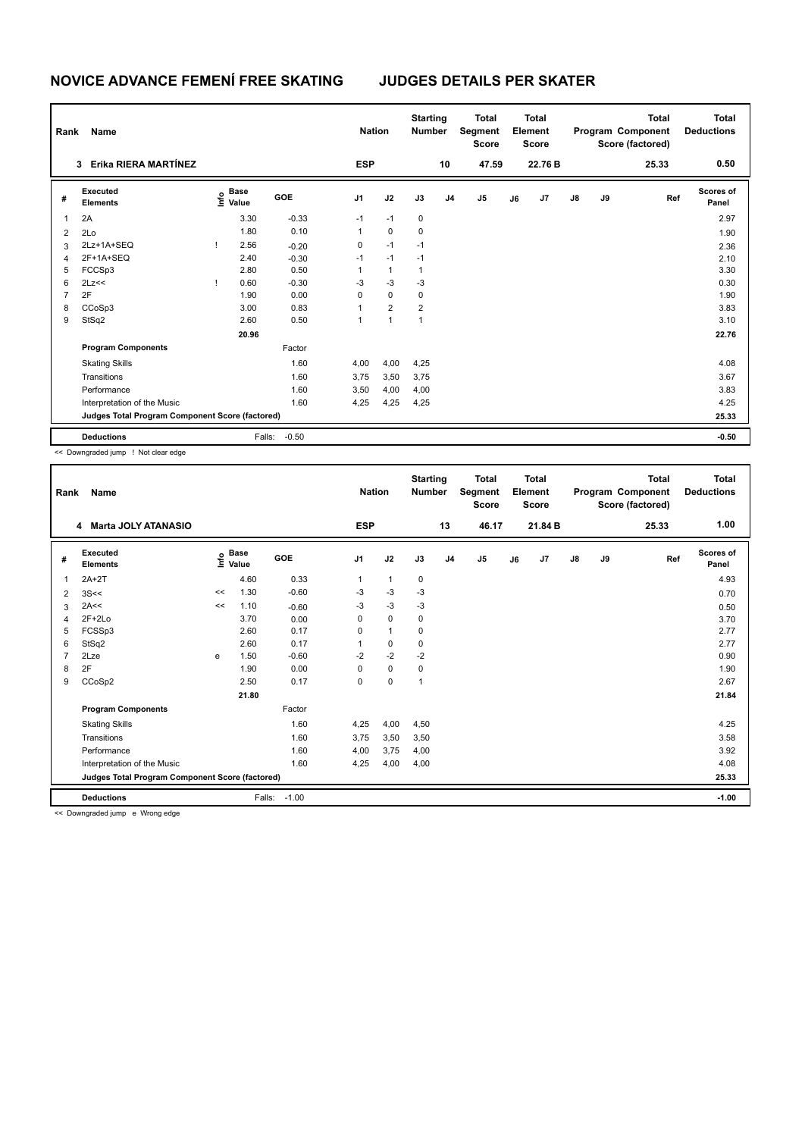| Rank           | Name                                            |   |                                  |         |            | <b>Nation</b>        | <b>Starting</b><br><b>Number</b> |                | <b>Total</b><br>Segment<br><b>Score</b> |    | <b>Total</b><br>Element<br><b>Score</b> |               |    | <b>Total</b><br>Program Component<br>Score (factored) | Total<br><b>Deductions</b> |
|----------------|-------------------------------------------------|---|----------------------------------|---------|------------|----------------------|----------------------------------|----------------|-----------------------------------------|----|-----------------------------------------|---------------|----|-------------------------------------------------------|----------------------------|
|                | Erika RIERA MARTÍNEZ<br>3                       |   |                                  |         | <b>ESP</b> |                      |                                  | 10             | 47.59                                   |    | 22.76 B                                 |               |    | 25.33                                                 | 0.50                       |
| #              | Executed<br><b>Elements</b>                     |   | <b>Base</b><br>e Base<br>⊆ Value | GOE     | J1         | J2                   | J3                               | J <sub>4</sub> | J <sub>5</sub>                          | J6 | J <sub>7</sub>                          | $\mathsf{J}8$ | J9 | Ref                                                   | Scores of<br>Panel         |
| 1              | 2A                                              |   | 3.30                             | $-0.33$ | $-1$       | $-1$                 | $\mathbf 0$                      |                |                                         |    |                                         |               |    |                                                       | 2.97                       |
| $\overline{2}$ | 2Lo                                             |   | 1.80                             | 0.10    | 1          | $\mathbf 0$          | 0                                |                |                                         |    |                                         |               |    |                                                       | 1.90                       |
| 3              | 2Lz+1A+SEQ                                      | 1 | 2.56                             | $-0.20$ | 0          | $-1$                 | $-1$                             |                |                                         |    |                                         |               |    |                                                       | 2.36                       |
| 4              | 2F+1A+SEQ                                       |   | 2.40                             | $-0.30$ | $-1$       | $-1$                 | $-1$                             |                |                                         |    |                                         |               |    |                                                       | 2.10                       |
| 5              | FCCSp3                                          |   | 2.80                             | 0.50    | 1          | $\mathbf{1}$         | 1                                |                |                                         |    |                                         |               |    |                                                       | 3.30                       |
| 6              | 2Lz<<                                           |   | 0.60                             | $-0.30$ | $-3$       | $-3$                 | $-3$                             |                |                                         |    |                                         |               |    |                                                       | 0.30                       |
| $\overline{7}$ | 2F                                              |   | 1.90                             | 0.00    | 0          | $\mathbf 0$          | 0                                |                |                                         |    |                                         |               |    |                                                       | 1.90                       |
| 8              | CCoSp3                                          |   | 3.00                             | 0.83    | 1          | $\overline{2}$       | 2                                |                |                                         |    |                                         |               |    |                                                       | 3.83                       |
| 9              | StSq2                                           |   | 2.60                             | 0.50    | 1          | $\blacktriangleleft$ | 1                                |                |                                         |    |                                         |               |    |                                                       | 3.10                       |
|                |                                                 |   | 20.96                            |         |            |                      |                                  |                |                                         |    |                                         |               |    |                                                       | 22.76                      |
|                | <b>Program Components</b>                       |   |                                  | Factor  |            |                      |                                  |                |                                         |    |                                         |               |    |                                                       |                            |
|                | <b>Skating Skills</b>                           |   |                                  | 1.60    | 4,00       | 4,00                 | 4,25                             |                |                                         |    |                                         |               |    |                                                       | 4.08                       |
|                | Transitions                                     |   |                                  | 1.60    | 3,75       | 3,50                 | 3,75                             |                |                                         |    |                                         |               |    |                                                       | 3.67                       |
|                | Performance                                     |   |                                  | 1.60    | 3,50       | 4,00                 | 4,00                             |                |                                         |    |                                         |               |    |                                                       | 3.83                       |
|                | Interpretation of the Music                     |   |                                  | 1.60    | 4,25       | 4,25                 | 4,25                             |                |                                         |    |                                         |               |    |                                                       | 4.25                       |
|                | Judges Total Program Component Score (factored) |   |                                  |         |            |                      |                                  |                |                                         |    |                                         |               |    |                                                       | 25.33                      |
|                | <b>Deductions</b>                               |   | Falls:                           | $-0.50$ |            |                      |                                  |                |                                         |    |                                         |               |    |                                                       | $-0.50$                    |

<< Downgraded jump ! Not clear edge

| Rank | Name                                            |    |                                  |            | <b>Nation</b>  |              | <b>Starting</b><br><b>Number</b> |                | <b>Total</b><br>Segment<br><b>Score</b> |    | <b>Total</b><br>Element<br><b>Score</b> |               |    | <b>Total</b><br>Program Component<br>Score (factored) | <b>Total</b><br><b>Deductions</b> |
|------|-------------------------------------------------|----|----------------------------------|------------|----------------|--------------|----------------------------------|----------------|-----------------------------------------|----|-----------------------------------------|---------------|----|-------------------------------------------------------|-----------------------------------|
|      | 4 Marta JOLY ATANASIO                           |    |                                  |            | <b>ESP</b>     |              |                                  | 13             | 46.17                                   |    | 21.84 B                                 |               |    | 25.33                                                 | 1.00                              |
| #    | Executed<br><b>Elements</b>                     |    | <b>Base</b><br>e Base<br>⊆ Value | <b>GOE</b> | J <sub>1</sub> | J2           | J3                               | J <sub>4</sub> | J5                                      | J6 | J <sub>7</sub>                          | $\mathsf{J}8$ | J9 | Ref                                                   | <b>Scores of</b><br>Panel         |
| 1    | $2A+2T$                                         |    | 4.60                             | 0.33       | 1              | $\mathbf{1}$ | 0                                |                |                                         |    |                                         |               |    |                                                       | 4.93                              |
| 2    | 3S<<                                            | << | 1.30                             | $-0.60$    | $-3$           | $-3$         | -3                               |                |                                         |    |                                         |               |    |                                                       | 0.70                              |
| 3    | 2A<<                                            | << | 1.10                             | $-0.60$    | $-3$           | $-3$         | $-3$                             |                |                                         |    |                                         |               |    |                                                       | 0.50                              |
| 4    | $2F+2Lo$                                        |    | 3.70                             | 0.00       | 0              | $\mathbf 0$  | 0                                |                |                                         |    |                                         |               |    |                                                       | 3.70                              |
| 5    | FCSSp3                                          |    | 2.60                             | 0.17       | 0              | $\mathbf{1}$ | 0                                |                |                                         |    |                                         |               |    |                                                       | 2.77                              |
| 6    | StSq2                                           |    | 2.60                             | 0.17       |                | 0            | 0                                |                |                                         |    |                                         |               |    |                                                       | 2.77                              |
|      | 2Lze                                            | e  | 1.50                             | $-0.60$    | $-2$           | $-2$         | $-2$                             |                |                                         |    |                                         |               |    |                                                       | 0.90                              |
| 8    | 2F                                              |    | 1.90                             | 0.00       | 0              | $\mathbf 0$  | 0                                |                |                                         |    |                                         |               |    |                                                       | 1.90                              |
| 9    | CCoSp2                                          |    | 2.50                             | 0.17       | 0              | 0            | 1                                |                |                                         |    |                                         |               |    |                                                       | 2.67                              |
|      |                                                 |    | 21.80                            |            |                |              |                                  |                |                                         |    |                                         |               |    |                                                       | 21.84                             |
|      | <b>Program Components</b>                       |    |                                  | Factor     |                |              |                                  |                |                                         |    |                                         |               |    |                                                       |                                   |
|      | <b>Skating Skills</b>                           |    |                                  | 1.60       | 4,25           | 4,00         | 4,50                             |                |                                         |    |                                         |               |    |                                                       | 4.25                              |
|      | Transitions                                     |    |                                  | 1.60       | 3,75           | 3,50         | 3,50                             |                |                                         |    |                                         |               |    |                                                       | 3.58                              |
|      | Performance                                     |    |                                  | 1.60       | 4,00           | 3,75         | 4,00                             |                |                                         |    |                                         |               |    |                                                       | 3.92                              |
|      | Interpretation of the Music                     |    |                                  | 1.60       | 4,25           | 4,00         | 4,00                             |                |                                         |    |                                         |               |    |                                                       | 4.08                              |
|      | Judges Total Program Component Score (factored) |    |                                  |            |                |              |                                  |                |                                         |    |                                         |               |    |                                                       | 25.33                             |
|      | <b>Deductions</b>                               |    | Falls:                           | $-1.00$    |                |              |                                  |                |                                         |    |                                         |               |    |                                                       | $-1.00$                           |

<< Downgraded jump e Wrong edge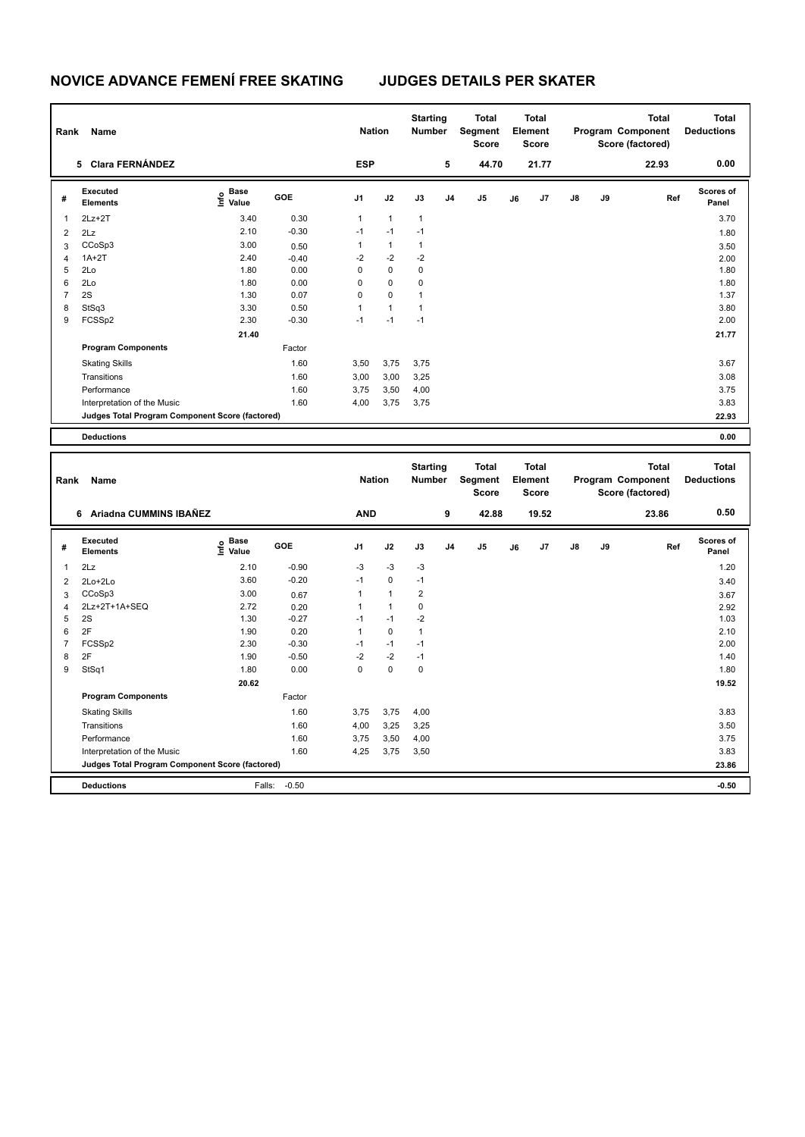| 0.00<br>5 Clara FERNÁNDEZ<br><b>ESP</b><br>5<br>44.70<br>21.77<br>22.93<br>Executed<br>Scores of<br>$\frac{e}{E}$ Base<br>$\frac{e}{E}$ Value<br>GOE<br>J3<br>J5<br>J7<br>J8<br>J9<br>J1<br>J2<br>J <sub>4</sub><br>J6<br>Ref<br>#<br>Elements<br>Panel<br>0.30<br>$2Lz + 2T$<br>3.40<br>$\mathbf{1}$<br>$\mathbf{1}$<br>$\mathbf{1}$<br>3.70<br>$\mathbf{1}$<br>2.10<br>$-0.30$<br>$-1$<br>$-1$<br>$-1$<br>2Lz<br>$\overline{2}$<br>1.80<br>3.00<br>CCoSp3<br>$\mathbf{1}$<br>$\mathbf{1}$<br>$\mathbf{1}$<br>3<br>0.50<br>3.50<br>2.40<br>$-2$<br>$-2$<br>$-2$<br>$1A+2T$<br>$\overline{\mathbf{4}}$<br>$-0.40$<br>2.00<br>$\mathbf 0$<br>$\mathbf 0$<br>5<br>1.80<br>0.00<br>0<br>1.80<br>2Lo<br>$\mathsf 0$<br>$\mathbf 0$<br>6<br>2Lo<br>1.80<br>0.00<br>0<br>1.80<br>$\mathbf 0$<br>$\overline{7}$<br>2S<br>$\mathbf 0$<br>1.30<br>0.07<br>$\mathbf{1}$<br>1.37<br>8<br>StSq3<br>3.30<br>0.50<br>$\mathbf{1}$<br>$\mathbf{1}$<br>3.80<br>$\mathbf{1}$<br>9<br>FCSSp2<br>2.30<br>$-1$<br>$-1$<br>$-1$<br>2.00<br>$-0.30$<br>21.40<br>21.77<br><b>Program Components</b><br>Factor<br>1.60<br>3,50<br>3.67<br><b>Skating Skills</b><br>3,75<br>3,75<br>Transitions<br>1.60<br>3,00<br>3,00<br>3,25<br>3.08<br>Performance<br>1.60<br>3,75<br>3,50<br>4,00<br>3.75<br>1.60<br>3,75<br>3,75<br>Interpretation of the Music<br>4,00<br>3.83<br>22.93<br>Judges Total Program Component Score (factored)<br>0.00<br><b>Deductions</b><br><b>Starting</b><br><b>Total</b><br><b>Total</b><br><b>Total</b><br><b>Total</b><br>Segment<br>Element<br>Program Component<br><b>Deductions</b><br><b>Nation</b><br><b>Number</b><br>Rank<br>Name<br>Score<br>Score (factored)<br>Score<br>6 Ariadna CUMMINS IBAÑEZ<br><b>AND</b><br>9<br>0.50<br>42.88<br>19.52<br>23.86<br>Executed<br><b>Scores of</b><br>$\frac{e}{E}$ Base<br>$\frac{E}{E}$ Value<br><b>GOE</b><br>J1<br>J2<br>J3<br>J4<br>J <sub>5</sub><br>J7<br>J8<br>J9<br>Ref<br>#<br>J6<br><b>Elements</b><br>Panel<br>2Lz<br>2.10<br>$-0.90$<br>-3<br>$-3$<br>$-3$<br>1.20<br>1<br>$-1$<br>3.60<br>$-0.20$<br>$-1$<br>0<br>$\overline{2}$<br>2Lo+2Lo<br>3.40<br>$\overline{2}$<br>3.00<br>CCoSp3<br>1<br>$\mathbf{1}$<br>3<br>0.67<br>3.67<br>2Lz+2T+1A+SEQ<br>2.72<br>0<br>0.20<br>$\mathbf{1}$<br>$\mathbf{1}$<br>$\overline{4}$<br>2.92<br>5<br>$-1$<br>$-2$<br>2S<br>1.30<br>$-0.27$<br>$-1$<br>1.03<br>2F<br>1.90<br>$\mathbf{1}$<br>$\mathbf 0$<br>$\mathbf{1}$<br>6<br>0.20<br>2.10<br>$\overline{7}$<br>2.30<br>$-1$<br>$-1$<br>$-1$<br>FCSSp2<br>$-0.30$<br>2.00<br>8<br>2F<br>1.90<br>$-2$<br>$-2$<br>$-1$<br>$-0.50$<br>1.40<br>$\Omega$<br>$\mathbf 0$<br>0<br>9<br>StSq1<br>1.80<br>0.00<br>1.80<br>20.62<br>19.52<br><b>Program Components</b><br>Factor<br>1.60<br>3,75<br>3,75<br>4,00<br>3.83<br><b>Skating Skills</b> | Rank | Name        |      | <b>Nation</b> |      | <b>Starting</b><br>Number | <b>Total</b><br>Segment<br><b>Score</b> | <b>Total</b><br>Element<br><b>Score</b> |  | <b>Total</b><br>Program Component<br>Score (factored) | <b>Total</b><br><b>Deductions</b> |
|----------------------------------------------------------------------------------------------------------------------------------------------------------------------------------------------------------------------------------------------------------------------------------------------------------------------------------------------------------------------------------------------------------------------------------------------------------------------------------------------------------------------------------------------------------------------------------------------------------------------------------------------------------------------------------------------------------------------------------------------------------------------------------------------------------------------------------------------------------------------------------------------------------------------------------------------------------------------------------------------------------------------------------------------------------------------------------------------------------------------------------------------------------------------------------------------------------------------------------------------------------------------------------------------------------------------------------------------------------------------------------------------------------------------------------------------------------------------------------------------------------------------------------------------------------------------------------------------------------------------------------------------------------------------------------------------------------------------------------------------------------------------------------------------------------------------------------------------------------------------------------------------------------------------------------------------------------------------------------------------------------------------------------------------------------------------------------------------------------------------------------------------------------------------------------------------------------------------------------------------------------------------------------------------------------------------------------------------------------------------------------------------------------------------------------------------------------------------------------------------------------------------------------------------------------------------------------------------------------------------------------------------------------------------------------------------------------------------------------------------------------------------------------------------|------|-------------|------|---------------|------|---------------------------|-----------------------------------------|-----------------------------------------|--|-------------------------------------------------------|-----------------------------------|
|                                                                                                                                                                                                                                                                                                                                                                                                                                                                                                                                                                                                                                                                                                                                                                                                                                                                                                                                                                                                                                                                                                                                                                                                                                                                                                                                                                                                                                                                                                                                                                                                                                                                                                                                                                                                                                                                                                                                                                                                                                                                                                                                                                                                                                                                                                                                                                                                                                                                                                                                                                                                                                                                                                                                                                                              |      |             |      |               |      |                           |                                         |                                         |  |                                                       |                                   |
|                                                                                                                                                                                                                                                                                                                                                                                                                                                                                                                                                                                                                                                                                                                                                                                                                                                                                                                                                                                                                                                                                                                                                                                                                                                                                                                                                                                                                                                                                                                                                                                                                                                                                                                                                                                                                                                                                                                                                                                                                                                                                                                                                                                                                                                                                                                                                                                                                                                                                                                                                                                                                                                                                                                                                                                              |      |             |      |               |      |                           |                                         |                                         |  |                                                       |                                   |
|                                                                                                                                                                                                                                                                                                                                                                                                                                                                                                                                                                                                                                                                                                                                                                                                                                                                                                                                                                                                                                                                                                                                                                                                                                                                                                                                                                                                                                                                                                                                                                                                                                                                                                                                                                                                                                                                                                                                                                                                                                                                                                                                                                                                                                                                                                                                                                                                                                                                                                                                                                                                                                                                                                                                                                                              |      |             |      |               |      |                           |                                         |                                         |  |                                                       |                                   |
|                                                                                                                                                                                                                                                                                                                                                                                                                                                                                                                                                                                                                                                                                                                                                                                                                                                                                                                                                                                                                                                                                                                                                                                                                                                                                                                                                                                                                                                                                                                                                                                                                                                                                                                                                                                                                                                                                                                                                                                                                                                                                                                                                                                                                                                                                                                                                                                                                                                                                                                                                                                                                                                                                                                                                                                              |      |             |      |               |      |                           |                                         |                                         |  |                                                       |                                   |
|                                                                                                                                                                                                                                                                                                                                                                                                                                                                                                                                                                                                                                                                                                                                                                                                                                                                                                                                                                                                                                                                                                                                                                                                                                                                                                                                                                                                                                                                                                                                                                                                                                                                                                                                                                                                                                                                                                                                                                                                                                                                                                                                                                                                                                                                                                                                                                                                                                                                                                                                                                                                                                                                                                                                                                                              |      |             |      |               |      |                           |                                         |                                         |  |                                                       |                                   |
|                                                                                                                                                                                                                                                                                                                                                                                                                                                                                                                                                                                                                                                                                                                                                                                                                                                                                                                                                                                                                                                                                                                                                                                                                                                                                                                                                                                                                                                                                                                                                                                                                                                                                                                                                                                                                                                                                                                                                                                                                                                                                                                                                                                                                                                                                                                                                                                                                                                                                                                                                                                                                                                                                                                                                                                              |      |             |      |               |      |                           |                                         |                                         |  |                                                       |                                   |
|                                                                                                                                                                                                                                                                                                                                                                                                                                                                                                                                                                                                                                                                                                                                                                                                                                                                                                                                                                                                                                                                                                                                                                                                                                                                                                                                                                                                                                                                                                                                                                                                                                                                                                                                                                                                                                                                                                                                                                                                                                                                                                                                                                                                                                                                                                                                                                                                                                                                                                                                                                                                                                                                                                                                                                                              |      |             |      |               |      |                           |                                         |                                         |  |                                                       |                                   |
|                                                                                                                                                                                                                                                                                                                                                                                                                                                                                                                                                                                                                                                                                                                                                                                                                                                                                                                                                                                                                                                                                                                                                                                                                                                                                                                                                                                                                                                                                                                                                                                                                                                                                                                                                                                                                                                                                                                                                                                                                                                                                                                                                                                                                                                                                                                                                                                                                                                                                                                                                                                                                                                                                                                                                                                              |      |             |      |               |      |                           |                                         |                                         |  |                                                       |                                   |
|                                                                                                                                                                                                                                                                                                                                                                                                                                                                                                                                                                                                                                                                                                                                                                                                                                                                                                                                                                                                                                                                                                                                                                                                                                                                                                                                                                                                                                                                                                                                                                                                                                                                                                                                                                                                                                                                                                                                                                                                                                                                                                                                                                                                                                                                                                                                                                                                                                                                                                                                                                                                                                                                                                                                                                                              |      |             |      |               |      |                           |                                         |                                         |  |                                                       |                                   |
|                                                                                                                                                                                                                                                                                                                                                                                                                                                                                                                                                                                                                                                                                                                                                                                                                                                                                                                                                                                                                                                                                                                                                                                                                                                                                                                                                                                                                                                                                                                                                                                                                                                                                                                                                                                                                                                                                                                                                                                                                                                                                                                                                                                                                                                                                                                                                                                                                                                                                                                                                                                                                                                                                                                                                                                              |      |             |      |               |      |                           |                                         |                                         |  |                                                       |                                   |
|                                                                                                                                                                                                                                                                                                                                                                                                                                                                                                                                                                                                                                                                                                                                                                                                                                                                                                                                                                                                                                                                                                                                                                                                                                                                                                                                                                                                                                                                                                                                                                                                                                                                                                                                                                                                                                                                                                                                                                                                                                                                                                                                                                                                                                                                                                                                                                                                                                                                                                                                                                                                                                                                                                                                                                                              |      |             |      |               |      |                           |                                         |                                         |  |                                                       |                                   |
|                                                                                                                                                                                                                                                                                                                                                                                                                                                                                                                                                                                                                                                                                                                                                                                                                                                                                                                                                                                                                                                                                                                                                                                                                                                                                                                                                                                                                                                                                                                                                                                                                                                                                                                                                                                                                                                                                                                                                                                                                                                                                                                                                                                                                                                                                                                                                                                                                                                                                                                                                                                                                                                                                                                                                                                              |      |             |      |               |      |                           |                                         |                                         |  |                                                       |                                   |
|                                                                                                                                                                                                                                                                                                                                                                                                                                                                                                                                                                                                                                                                                                                                                                                                                                                                                                                                                                                                                                                                                                                                                                                                                                                                                                                                                                                                                                                                                                                                                                                                                                                                                                                                                                                                                                                                                                                                                                                                                                                                                                                                                                                                                                                                                                                                                                                                                                                                                                                                                                                                                                                                                                                                                                                              |      |             |      |               |      |                           |                                         |                                         |  |                                                       |                                   |
|                                                                                                                                                                                                                                                                                                                                                                                                                                                                                                                                                                                                                                                                                                                                                                                                                                                                                                                                                                                                                                                                                                                                                                                                                                                                                                                                                                                                                                                                                                                                                                                                                                                                                                                                                                                                                                                                                                                                                                                                                                                                                                                                                                                                                                                                                                                                                                                                                                                                                                                                                                                                                                                                                                                                                                                              |      |             |      |               |      |                           |                                         |                                         |  |                                                       |                                   |
|                                                                                                                                                                                                                                                                                                                                                                                                                                                                                                                                                                                                                                                                                                                                                                                                                                                                                                                                                                                                                                                                                                                                                                                                                                                                                                                                                                                                                                                                                                                                                                                                                                                                                                                                                                                                                                                                                                                                                                                                                                                                                                                                                                                                                                                                                                                                                                                                                                                                                                                                                                                                                                                                                                                                                                                              |      |             |      |               |      |                           |                                         |                                         |  |                                                       |                                   |
|                                                                                                                                                                                                                                                                                                                                                                                                                                                                                                                                                                                                                                                                                                                                                                                                                                                                                                                                                                                                                                                                                                                                                                                                                                                                                                                                                                                                                                                                                                                                                                                                                                                                                                                                                                                                                                                                                                                                                                                                                                                                                                                                                                                                                                                                                                                                                                                                                                                                                                                                                                                                                                                                                                                                                                                              |      |             |      |               |      |                           |                                         |                                         |  |                                                       |                                   |
|                                                                                                                                                                                                                                                                                                                                                                                                                                                                                                                                                                                                                                                                                                                                                                                                                                                                                                                                                                                                                                                                                                                                                                                                                                                                                                                                                                                                                                                                                                                                                                                                                                                                                                                                                                                                                                                                                                                                                                                                                                                                                                                                                                                                                                                                                                                                                                                                                                                                                                                                                                                                                                                                                                                                                                                              |      |             |      |               |      |                           |                                         |                                         |  |                                                       |                                   |
|                                                                                                                                                                                                                                                                                                                                                                                                                                                                                                                                                                                                                                                                                                                                                                                                                                                                                                                                                                                                                                                                                                                                                                                                                                                                                                                                                                                                                                                                                                                                                                                                                                                                                                                                                                                                                                                                                                                                                                                                                                                                                                                                                                                                                                                                                                                                                                                                                                                                                                                                                                                                                                                                                                                                                                                              |      |             |      |               |      |                           |                                         |                                         |  |                                                       |                                   |
|                                                                                                                                                                                                                                                                                                                                                                                                                                                                                                                                                                                                                                                                                                                                                                                                                                                                                                                                                                                                                                                                                                                                                                                                                                                                                                                                                                                                                                                                                                                                                                                                                                                                                                                                                                                                                                                                                                                                                                                                                                                                                                                                                                                                                                                                                                                                                                                                                                                                                                                                                                                                                                                                                                                                                                                              |      |             |      |               |      |                           |                                         |                                         |  |                                                       |                                   |
|                                                                                                                                                                                                                                                                                                                                                                                                                                                                                                                                                                                                                                                                                                                                                                                                                                                                                                                                                                                                                                                                                                                                                                                                                                                                                                                                                                                                                                                                                                                                                                                                                                                                                                                                                                                                                                                                                                                                                                                                                                                                                                                                                                                                                                                                                                                                                                                                                                                                                                                                                                                                                                                                                                                                                                                              |      |             |      |               |      |                           |                                         |                                         |  |                                                       |                                   |
|                                                                                                                                                                                                                                                                                                                                                                                                                                                                                                                                                                                                                                                                                                                                                                                                                                                                                                                                                                                                                                                                                                                                                                                                                                                                                                                                                                                                                                                                                                                                                                                                                                                                                                                                                                                                                                                                                                                                                                                                                                                                                                                                                                                                                                                                                                                                                                                                                                                                                                                                                                                                                                                                                                                                                                                              |      |             |      |               |      |                           |                                         |                                         |  |                                                       |                                   |
|                                                                                                                                                                                                                                                                                                                                                                                                                                                                                                                                                                                                                                                                                                                                                                                                                                                                                                                                                                                                                                                                                                                                                                                                                                                                                                                                                                                                                                                                                                                                                                                                                                                                                                                                                                                                                                                                                                                                                                                                                                                                                                                                                                                                                                                                                                                                                                                                                                                                                                                                                                                                                                                                                                                                                                                              |      |             |      |               |      |                           |                                         |                                         |  |                                                       |                                   |
|                                                                                                                                                                                                                                                                                                                                                                                                                                                                                                                                                                                                                                                                                                                                                                                                                                                                                                                                                                                                                                                                                                                                                                                                                                                                                                                                                                                                                                                                                                                                                                                                                                                                                                                                                                                                                                                                                                                                                                                                                                                                                                                                                                                                                                                                                                                                                                                                                                                                                                                                                                                                                                                                                                                                                                                              |      |             |      |               |      |                           |                                         |                                         |  |                                                       |                                   |
|                                                                                                                                                                                                                                                                                                                                                                                                                                                                                                                                                                                                                                                                                                                                                                                                                                                                                                                                                                                                                                                                                                                                                                                                                                                                                                                                                                                                                                                                                                                                                                                                                                                                                                                                                                                                                                                                                                                                                                                                                                                                                                                                                                                                                                                                                                                                                                                                                                                                                                                                                                                                                                                                                                                                                                                              |      |             |      |               |      |                           |                                         |                                         |  |                                                       |                                   |
|                                                                                                                                                                                                                                                                                                                                                                                                                                                                                                                                                                                                                                                                                                                                                                                                                                                                                                                                                                                                                                                                                                                                                                                                                                                                                                                                                                                                                                                                                                                                                                                                                                                                                                                                                                                                                                                                                                                                                                                                                                                                                                                                                                                                                                                                                                                                                                                                                                                                                                                                                                                                                                                                                                                                                                                              |      |             |      |               |      |                           |                                         |                                         |  |                                                       |                                   |
|                                                                                                                                                                                                                                                                                                                                                                                                                                                                                                                                                                                                                                                                                                                                                                                                                                                                                                                                                                                                                                                                                                                                                                                                                                                                                                                                                                                                                                                                                                                                                                                                                                                                                                                                                                                                                                                                                                                                                                                                                                                                                                                                                                                                                                                                                                                                                                                                                                                                                                                                                                                                                                                                                                                                                                                              |      |             |      |               |      |                           |                                         |                                         |  |                                                       |                                   |
|                                                                                                                                                                                                                                                                                                                                                                                                                                                                                                                                                                                                                                                                                                                                                                                                                                                                                                                                                                                                                                                                                                                                                                                                                                                                                                                                                                                                                                                                                                                                                                                                                                                                                                                                                                                                                                                                                                                                                                                                                                                                                                                                                                                                                                                                                                                                                                                                                                                                                                                                                                                                                                                                                                                                                                                              |      |             |      |               |      |                           |                                         |                                         |  |                                                       |                                   |
|                                                                                                                                                                                                                                                                                                                                                                                                                                                                                                                                                                                                                                                                                                                                                                                                                                                                                                                                                                                                                                                                                                                                                                                                                                                                                                                                                                                                                                                                                                                                                                                                                                                                                                                                                                                                                                                                                                                                                                                                                                                                                                                                                                                                                                                                                                                                                                                                                                                                                                                                                                                                                                                                                                                                                                                              |      |             |      |               |      |                           |                                         |                                         |  |                                                       |                                   |
|                                                                                                                                                                                                                                                                                                                                                                                                                                                                                                                                                                                                                                                                                                                                                                                                                                                                                                                                                                                                                                                                                                                                                                                                                                                                                                                                                                                                                                                                                                                                                                                                                                                                                                                                                                                                                                                                                                                                                                                                                                                                                                                                                                                                                                                                                                                                                                                                                                                                                                                                                                                                                                                                                                                                                                                              |      |             |      |               |      |                           |                                         |                                         |  |                                                       |                                   |
|                                                                                                                                                                                                                                                                                                                                                                                                                                                                                                                                                                                                                                                                                                                                                                                                                                                                                                                                                                                                                                                                                                                                                                                                                                                                                                                                                                                                                                                                                                                                                                                                                                                                                                                                                                                                                                                                                                                                                                                                                                                                                                                                                                                                                                                                                                                                                                                                                                                                                                                                                                                                                                                                                                                                                                                              |      |             |      |               |      |                           |                                         |                                         |  |                                                       |                                   |
|                                                                                                                                                                                                                                                                                                                                                                                                                                                                                                                                                                                                                                                                                                                                                                                                                                                                                                                                                                                                                                                                                                                                                                                                                                                                                                                                                                                                                                                                                                                                                                                                                                                                                                                                                                                                                                                                                                                                                                                                                                                                                                                                                                                                                                                                                                                                                                                                                                                                                                                                                                                                                                                                                                                                                                                              |      |             |      |               |      |                           |                                         |                                         |  |                                                       |                                   |
|                                                                                                                                                                                                                                                                                                                                                                                                                                                                                                                                                                                                                                                                                                                                                                                                                                                                                                                                                                                                                                                                                                                                                                                                                                                                                                                                                                                                                                                                                                                                                                                                                                                                                                                                                                                                                                                                                                                                                                                                                                                                                                                                                                                                                                                                                                                                                                                                                                                                                                                                                                                                                                                                                                                                                                                              |      |             |      |               |      |                           |                                         |                                         |  |                                                       |                                   |
|                                                                                                                                                                                                                                                                                                                                                                                                                                                                                                                                                                                                                                                                                                                                                                                                                                                                                                                                                                                                                                                                                                                                                                                                                                                                                                                                                                                                                                                                                                                                                                                                                                                                                                                                                                                                                                                                                                                                                                                                                                                                                                                                                                                                                                                                                                                                                                                                                                                                                                                                                                                                                                                                                                                                                                                              |      |             |      |               |      |                           |                                         |                                         |  |                                                       |                                   |
|                                                                                                                                                                                                                                                                                                                                                                                                                                                                                                                                                                                                                                                                                                                                                                                                                                                                                                                                                                                                                                                                                                                                                                                                                                                                                                                                                                                                                                                                                                                                                                                                                                                                                                                                                                                                                                                                                                                                                                                                                                                                                                                                                                                                                                                                                                                                                                                                                                                                                                                                                                                                                                                                                                                                                                                              |      |             |      |               |      |                           |                                         |                                         |  |                                                       |                                   |
|                                                                                                                                                                                                                                                                                                                                                                                                                                                                                                                                                                                                                                                                                                                                                                                                                                                                                                                                                                                                                                                                                                                                                                                                                                                                                                                                                                                                                                                                                                                                                                                                                                                                                                                                                                                                                                                                                                                                                                                                                                                                                                                                                                                                                                                                                                                                                                                                                                                                                                                                                                                                                                                                                                                                                                                              |      |             |      |               |      |                           |                                         |                                         |  |                                                       |                                   |
|                                                                                                                                                                                                                                                                                                                                                                                                                                                                                                                                                                                                                                                                                                                                                                                                                                                                                                                                                                                                                                                                                                                                                                                                                                                                                                                                                                                                                                                                                                                                                                                                                                                                                                                                                                                                                                                                                                                                                                                                                                                                                                                                                                                                                                                                                                                                                                                                                                                                                                                                                                                                                                                                                                                                                                                              |      | Transitions | 1.60 | 4,00          | 3,25 | 3,25                      |                                         |                                         |  |                                                       | 3.50                              |
| 1.60<br>3,50<br>4,00<br>3.75<br>Performance<br>3,75                                                                                                                                                                                                                                                                                                                                                                                                                                                                                                                                                                                                                                                                                                                                                                                                                                                                                                                                                                                                                                                                                                                                                                                                                                                                                                                                                                                                                                                                                                                                                                                                                                                                                                                                                                                                                                                                                                                                                                                                                                                                                                                                                                                                                                                                                                                                                                                                                                                                                                                                                                                                                                                                                                                                          |      |             |      |               |      |                           |                                         |                                         |  |                                                       |                                   |
| 1.60<br>4,25<br>3,75<br>3,50<br>3.83<br>Interpretation of the Music                                                                                                                                                                                                                                                                                                                                                                                                                                                                                                                                                                                                                                                                                                                                                                                                                                                                                                                                                                                                                                                                                                                                                                                                                                                                                                                                                                                                                                                                                                                                                                                                                                                                                                                                                                                                                                                                                                                                                                                                                                                                                                                                                                                                                                                                                                                                                                                                                                                                                                                                                                                                                                                                                                                          |      |             |      |               |      |                           |                                         |                                         |  |                                                       |                                   |
| 23.86<br>Judges Total Program Component Score (factored)                                                                                                                                                                                                                                                                                                                                                                                                                                                                                                                                                                                                                                                                                                                                                                                                                                                                                                                                                                                                                                                                                                                                                                                                                                                                                                                                                                                                                                                                                                                                                                                                                                                                                                                                                                                                                                                                                                                                                                                                                                                                                                                                                                                                                                                                                                                                                                                                                                                                                                                                                                                                                                                                                                                                     |      |             |      |               |      |                           |                                         |                                         |  |                                                       |                                   |

**Deductions** Falls: -0.50 **-0.50**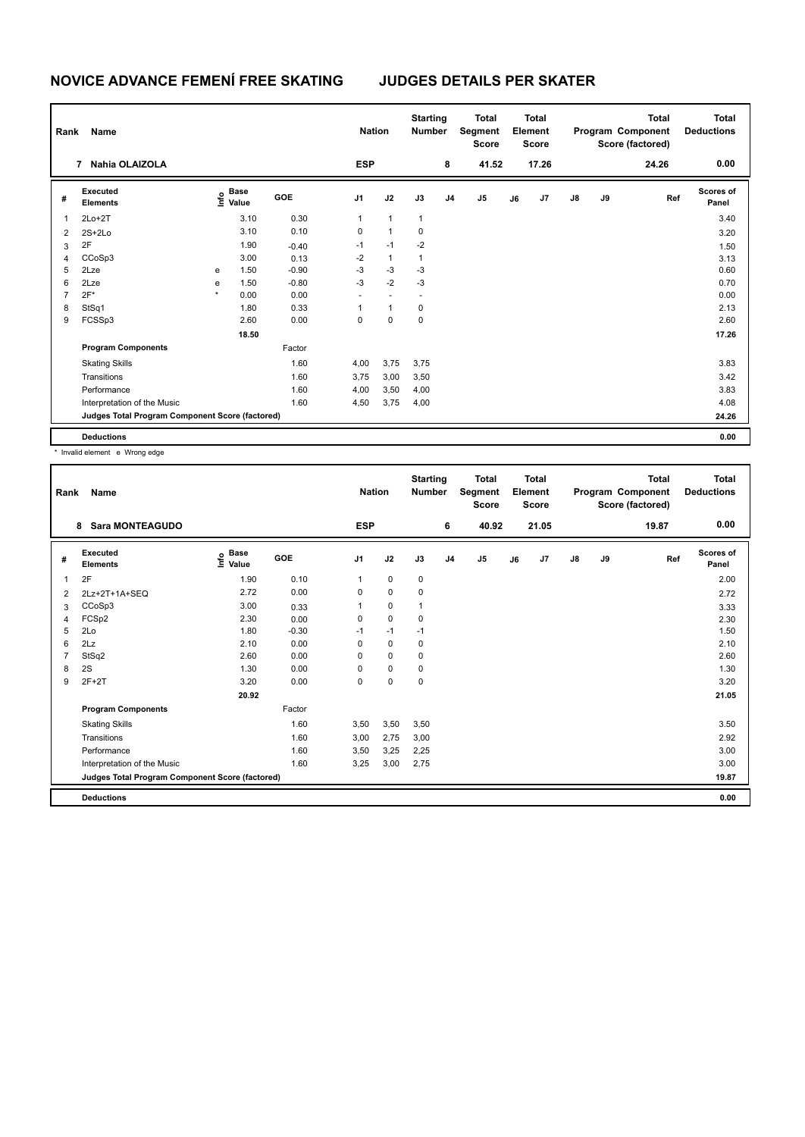| Rank           | Name                                            |         |                                  |         | <b>Nation</b>            |                          | <b>Starting</b><br><b>Number</b> |                | <b>Total</b><br>Segment<br><b>Score</b> |    | <b>Total</b><br>Element<br><b>Score</b> |               |    | <b>Total</b><br>Program Component<br>Score (factored) | <b>Total</b><br><b>Deductions</b> |
|----------------|-------------------------------------------------|---------|----------------------------------|---------|--------------------------|--------------------------|----------------------------------|----------------|-----------------------------------------|----|-----------------------------------------|---------------|----|-------------------------------------------------------|-----------------------------------|
|                | Nahia OLAIZOLA<br>$\overline{7}$                |         |                                  |         | <b>ESP</b>               |                          |                                  | 8              | 41.52                                   |    | 17.26                                   |               |    | 24.26                                                 | 0.00                              |
| #              | Executed<br><b>Elements</b>                     |         | <b>Base</b><br>o Base<br>⊆ Value | GOE     | J1                       | J2                       | J3                               | J <sub>4</sub> | J <sub>5</sub>                          | J6 | J <sub>7</sub>                          | $\mathsf{J}8$ | J9 | Ref                                                   | Scores of<br>Panel                |
| 1              | $2Lo+2T$                                        |         | 3.10                             | 0.30    | 1                        | $\mathbf{1}$             | 1                                |                |                                         |    |                                         |               |    |                                                       | 3.40                              |
| 2              | $2S+2Lo$                                        |         | 3.10                             | 0.10    | 0                        | $\mathbf{1}$             | 0                                |                |                                         |    |                                         |               |    |                                                       | 3.20                              |
| 3              | 2F                                              |         | 1.90                             | $-0.40$ | $-1$                     | $-1$                     | $-2$                             |                |                                         |    |                                         |               |    |                                                       | 1.50                              |
| 4              | CCoSp3                                          |         | 3.00                             | 0.13    | $-2$                     | $\mathbf{1}$             | 1                                |                |                                         |    |                                         |               |    |                                                       | 3.13                              |
| 5              | 2Lze                                            | e       | 1.50                             | $-0.90$ | $-3$                     | $-3$                     | $-3$                             |                |                                         |    |                                         |               |    |                                                       | 0.60                              |
| 6              | 2Lze                                            | e       | 1.50                             | $-0.80$ | $-3$                     | $-2$                     | $-3$                             |                |                                         |    |                                         |               |    |                                                       | 0.70                              |
| $\overline{7}$ | $2F*$                                           | $\star$ | 0.00                             | 0.00    | $\overline{\phantom{a}}$ | $\overline{\phantom{a}}$ | $\overline{\phantom{a}}$         |                |                                         |    |                                         |               |    |                                                       | 0.00                              |
| 8              | StSq1                                           |         | 1.80                             | 0.33    |                          | $\mathbf{1}$             | 0                                |                |                                         |    |                                         |               |    |                                                       | 2.13                              |
| 9              | FCSSp3                                          |         | 2.60                             | 0.00    | 0                        | 0                        | 0                                |                |                                         |    |                                         |               |    |                                                       | 2.60                              |
|                |                                                 |         | 18.50                            |         |                          |                          |                                  |                |                                         |    |                                         |               |    |                                                       | 17.26                             |
|                | <b>Program Components</b>                       |         |                                  | Factor  |                          |                          |                                  |                |                                         |    |                                         |               |    |                                                       |                                   |
|                | <b>Skating Skills</b>                           |         |                                  | 1.60    | 4,00                     | 3,75                     | 3,75                             |                |                                         |    |                                         |               |    |                                                       | 3.83                              |
|                | Transitions                                     |         |                                  | 1.60    | 3,75                     | 3,00                     | 3,50                             |                |                                         |    |                                         |               |    |                                                       | 3.42                              |
|                | Performance                                     |         |                                  | 1.60    | 4,00                     | 3,50                     | 4,00                             |                |                                         |    |                                         |               |    |                                                       | 3.83                              |
|                | Interpretation of the Music                     |         |                                  | 1.60    | 4,50                     | 3,75                     | 4,00                             |                |                                         |    |                                         |               |    |                                                       | 4.08                              |
|                | Judges Total Program Component Score (factored) |         |                                  |         |                          |                          |                                  |                |                                         |    |                                         |               |    |                                                       | 24.26                             |
|                | <b>Deductions</b>                               |         |                                  |         |                          |                          |                                  |                |                                         |    |                                         |               |    |                                                       | 0.00                              |

\* Invalid element e Wrong edge

| Rank | Name                                            |                   |         | <b>Nation</b>  |             | <b>Starting</b><br><b>Number</b> |                | <b>Total</b><br>Segment<br><b>Score</b> |    | <b>Total</b><br>Element<br><b>Score</b> |               |    | <b>Total</b><br>Program Component<br>Score (factored) | <b>Total</b><br><b>Deductions</b> |
|------|-------------------------------------------------|-------------------|---------|----------------|-------------|----------------------------------|----------------|-----------------------------------------|----|-----------------------------------------|---------------|----|-------------------------------------------------------|-----------------------------------|
|      | <b>Sara MONTEAGUDO</b><br>8                     |                   |         | <b>ESP</b>     |             |                                  | 6              | 40.92                                   |    | 21.05                                   |               |    | 19.87                                                 | 0.00                              |
| #    | Executed<br><b>Elements</b>                     | e Base<br>E Value | GOE     | J <sub>1</sub> | J2          | J3                               | J <sub>4</sub> | J5                                      | J6 | J <sub>7</sub>                          | $\mathsf{J}8$ | J9 | Ref                                                   | Scores of<br>Panel                |
| 1    | 2F                                              | 1.90              | 0.10    |                | $\mathbf 0$ | 0                                |                |                                         |    |                                         |               |    |                                                       | 2.00                              |
| 2    | 2Lz+2T+1A+SEQ                                   | 2.72              | 0.00    | $\Omega$       | $\mathbf 0$ | $\Omega$                         |                |                                         |    |                                         |               |    |                                                       | 2.72                              |
| 3    | CCoSp3                                          | 3.00              | 0.33    |                | 0           | 1                                |                |                                         |    |                                         |               |    |                                                       | 3.33                              |
| 4    | FCSp2                                           | 2.30              | 0.00    | 0              | $\mathbf 0$ | 0                                |                |                                         |    |                                         |               |    |                                                       | 2.30                              |
| 5    | 2Lo                                             | 1.80              | $-0.30$ | $-1$           | $-1$        | $-1$                             |                |                                         |    |                                         |               |    |                                                       | 1.50                              |
| 6    | 2Lz                                             | 2.10              | 0.00    | $\Omega$       | $\mathbf 0$ | 0                                |                |                                         |    |                                         |               |    |                                                       | 2.10                              |
| 7    | StSq2                                           | 2.60              | 0.00    | 0              | 0           | 0                                |                |                                         |    |                                         |               |    |                                                       | 2.60                              |
| 8    | 2S                                              | 1.30              | 0.00    | 0              | $\mathbf 0$ | 0                                |                |                                         |    |                                         |               |    |                                                       | 1.30                              |
| 9    | $2F+2T$                                         | 3.20              | 0.00    | $\Omega$       | $\mathbf 0$ | $\mathbf 0$                      |                |                                         |    |                                         |               |    |                                                       | 3.20                              |
|      |                                                 | 20.92             |         |                |             |                                  |                |                                         |    |                                         |               |    |                                                       | 21.05                             |
|      | <b>Program Components</b>                       |                   | Factor  |                |             |                                  |                |                                         |    |                                         |               |    |                                                       |                                   |
|      | <b>Skating Skills</b>                           |                   | 1.60    | 3,50           | 3,50        | 3,50                             |                |                                         |    |                                         |               |    |                                                       | 3.50                              |
|      | Transitions                                     |                   | 1.60    | 3,00           | 2,75        | 3,00                             |                |                                         |    |                                         |               |    |                                                       | 2.92                              |
|      | Performance                                     |                   | 1.60    | 3,50           | 3,25        | 2,25                             |                |                                         |    |                                         |               |    |                                                       | 3.00                              |
|      | Interpretation of the Music                     |                   | 1.60    | 3,25           | 3,00        | 2,75                             |                |                                         |    |                                         |               |    |                                                       | 3.00                              |
|      | Judges Total Program Component Score (factored) |                   |         |                |             |                                  |                |                                         |    |                                         |               |    |                                                       | 19.87                             |
|      | <b>Deductions</b>                               |                   |         |                |             |                                  |                |                                         |    |                                         |               |    |                                                       | 0.00                              |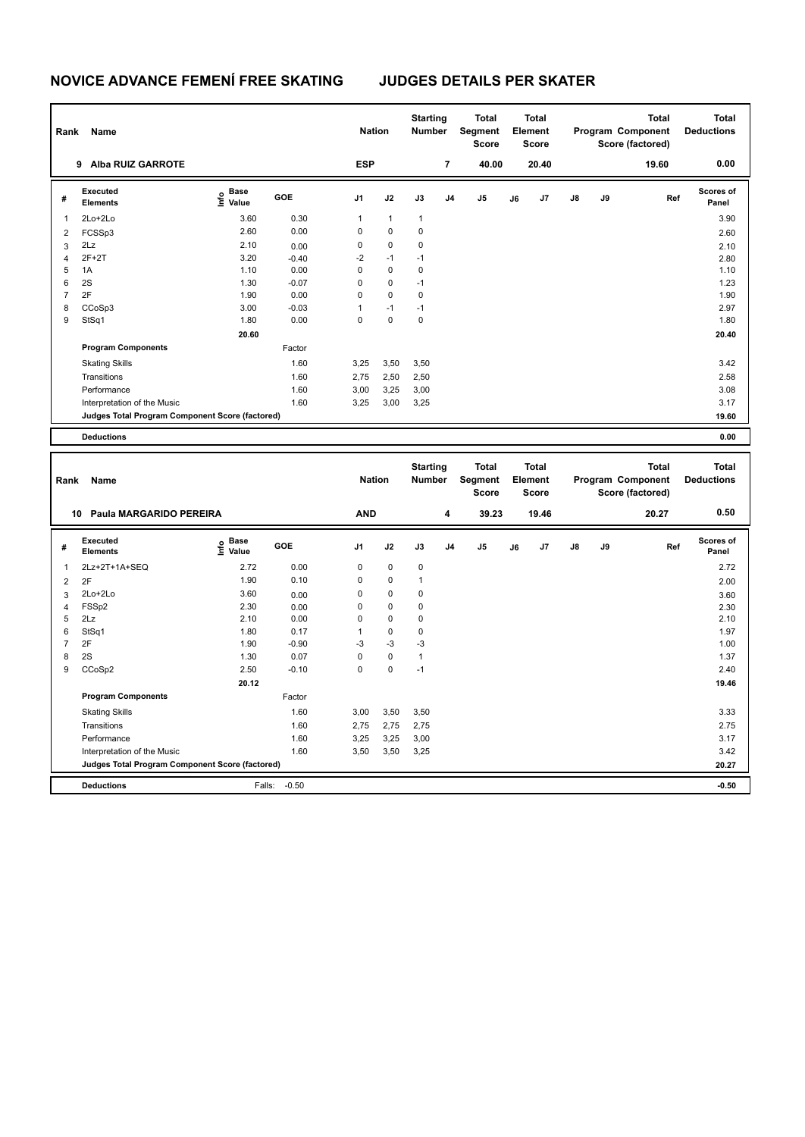| Rank                         | Name                                            |                                           |              | <b>Nation</b>    |              | <b>Starting</b><br>Number |                | <b>Total</b><br>Segment<br><b>Score</b> |    | <b>Total</b><br>Element<br><b>Score</b> |    |    | <b>Total</b><br>Program Component<br>Score (factored) | <b>Total</b><br><b>Deductions</b> |
|------------------------------|-------------------------------------------------|-------------------------------------------|--------------|------------------|--------------|---------------------------|----------------|-----------------------------------------|----|-----------------------------------------|----|----|-------------------------------------------------------|-----------------------------------|
|                              | 9 Alba RUIZ GARROTE                             |                                           |              | <b>ESP</b>       |              |                           | $\overline{7}$ | 40.00                                   |    | 20.40                                   |    |    | 19.60                                                 | 0.00                              |
| #                            | Executed<br><b>Elements</b>                     | $\frac{e}{E}$ Base<br>$\frac{e}{E}$ Value | GOE          | J1               | J2           | J3                        | J4             | J <sub>5</sub>                          | J6 | J7                                      | J8 | J9 | Ref                                                   | <b>Scores of</b><br>Panel         |
| 1                            | 2Lo+2Lo                                         | 3.60                                      | 0.30         | 1                | $\mathbf{1}$ | 1                         |                |                                         |    |                                         |    |    |                                                       | 3.90                              |
| $\overline{2}$               | FCSSp3                                          | 2.60                                      | 0.00         | $\mathsf 0$      | $\mathbf 0$  | 0                         |                |                                         |    |                                         |    |    |                                                       | 2.60                              |
| 3                            | 2Lz                                             | 2.10                                      | 0.00         | 0                | 0            | 0                         |                |                                         |    |                                         |    |    |                                                       | 2.10                              |
| $\overline{4}$               | $2F+2T$                                         | 3.20                                      | $-0.40$      | $-2$             | $-1$         | $-1$                      |                |                                         |    |                                         |    |    |                                                       | 2.80                              |
| 5                            | 1A                                              | 1.10                                      | 0.00         | $\mathsf 0$      | $\mathbf 0$  | $\mathbf 0$               |                |                                         |    |                                         |    |    |                                                       | 1.10                              |
| 6                            | 2S                                              | 1.30                                      | $-0.07$      | $\mathbf 0$      | 0            | $-1$                      |                |                                         |    |                                         |    |    |                                                       | 1.23                              |
| $\overline{7}$               | 2F                                              | 1.90                                      | 0.00         | 0                | 0            | 0                         |                |                                         |    |                                         |    |    |                                                       | 1.90                              |
| 8                            | CCoSp3                                          | 3.00                                      | $-0.03$      | $\mathbf{1}$     | $-1$         | $-1$                      |                |                                         |    |                                         |    |    |                                                       | 2.97                              |
| 9                            | StSq1                                           | 1.80                                      | 0.00         | $\mathbf 0$      | $\mathbf 0$  | $\mathbf 0$               |                |                                         |    |                                         |    |    |                                                       | 1.80                              |
|                              |                                                 | 20.60                                     |              |                  |              |                           |                |                                         |    |                                         |    |    |                                                       | 20.40                             |
|                              | <b>Program Components</b>                       |                                           | Factor       |                  |              |                           |                |                                         |    |                                         |    |    |                                                       |                                   |
|                              | <b>Skating Skills</b>                           |                                           | 1.60         | 3,25             | 3,50         | 3,50                      |                |                                         |    |                                         |    |    |                                                       | 3.42                              |
|                              | Transitions                                     |                                           | 1.60         | 2,75             | 2,50         | 2,50                      |                |                                         |    |                                         |    |    |                                                       | 2.58                              |
|                              | Performance                                     |                                           | 1.60         | 3,00             | 3,25         | 3,00                      |                |                                         |    |                                         |    |    |                                                       | 3.08                              |
|                              | Interpretation of the Music                     |                                           | 1.60         | 3,25             | 3,00         | 3,25                      |                |                                         |    |                                         |    |    |                                                       | 3.17                              |
|                              | Judges Total Program Component Score (factored) |                                           |              |                  |              |                           |                |                                         |    |                                         |    |    |                                                       | 19.60                             |
|                              |                                                 |                                           |              |                  |              |                           |                |                                         |    |                                         |    |    |                                                       |                                   |
|                              | <b>Deductions</b>                               |                                           |              |                  |              |                           |                |                                         |    |                                         |    |    |                                                       | 0.00                              |
|                              |                                                 |                                           |              |                  |              |                           |                |                                         |    |                                         |    |    |                                                       |                                   |
| Rank                         | Name                                            |                                           |              | <b>Nation</b>    |              | <b>Starting</b><br>Number |                | <b>Total</b><br>Segment<br><b>Score</b> |    | <b>Total</b><br>Element<br><b>Score</b> |    |    | <b>Total</b><br>Program Component<br>Score (factored) | <b>Total</b><br><b>Deductions</b> |
|                              | Paula MARGARIDO PEREIRA<br>10                   |                                           |              | <b>AND</b>       |              |                           | 4              | 39.23                                   |    | 19.46                                   |    |    | 20.27                                                 | 0.50                              |
| #                            | <b>Executed</b><br><b>Elements</b>              | $\frac{e}{E}$ Base<br>$\frac{e}{E}$ Value | GOE          | J1               | J2           | J3                        | J4             | J <sub>5</sub>                          | J6 | J7                                      | J8 | J9 | Ref                                                   | <b>Scores of</b><br>Panel         |
| $\mathbf{1}$                 | 2Lz+2T+1A+SEQ                                   | 2.72                                      | 0.00         | 0                | $\mathbf 0$  | 0                         |                |                                         |    |                                         |    |    |                                                       | 2.72                              |
|                              | 2F                                              | 1.90                                      | 0.10         | 0                | 0            | $\mathbf{1}$              |                |                                         |    |                                         |    |    |                                                       | 2.00                              |
| $\overline{\mathbf{c}}$      |                                                 |                                           |              |                  | 0            | $\mathbf 0$               |                |                                         |    |                                         |    |    |                                                       |                                   |
| 3                            | 2Lo+2Lo                                         | 3.60<br>2.30                              | 0.00         | 0<br>$\mathbf 0$ | $\mathbf 0$  | $\mathbf 0$               |                |                                         |    |                                         |    |    |                                                       | 3.60                              |
| $\overline{\mathbf{4}}$<br>5 | FSSp2<br>2Lz                                    | 2.10                                      | 0.00<br>0.00 | $\mathbf 0$      | $\mathbf 0$  | 0                         |                |                                         |    |                                         |    |    |                                                       | 2.30<br>2.10                      |
| 6                            | StSq1                                           | 1.80                                      | 0.17         | $\mathbf{1}$     | 0            | 0                         |                |                                         |    |                                         |    |    |                                                       | 1.97                              |
| $\overline{7}$               | 2F                                              | 1.90                                      | $-0.90$      | -3               | $-3$         | $-3$                      |                |                                         |    |                                         |    |    |                                                       | 1.00                              |
| 8                            | 2S                                              | 1.30                                      | 0.07         | $\mathsf 0$      | $\mathbf 0$  | $\mathbf{1}$              |                |                                         |    |                                         |    |    |                                                       | 1.37                              |
| 9                            | CCoSp2                                          | 2.50                                      | $-0.10$      | $\mathbf 0$      | 0            | $-1$                      |                |                                         |    |                                         |    |    |                                                       | 2.40                              |
|                              |                                                 | 20.12                                     |              |                  |              |                           |                |                                         |    |                                         |    |    |                                                       | 19.46                             |
|                              | <b>Program Components</b>                       |                                           | Factor       |                  |              |                           |                |                                         |    |                                         |    |    |                                                       |                                   |
|                              |                                                 |                                           |              |                  |              |                           |                |                                         |    |                                         |    |    |                                                       |                                   |
|                              | <b>Skating Skills</b><br>Transitions            |                                           | 1.60<br>1.60 | 3,00<br>2,75     | 3,50<br>2,75 | 3,50<br>2,75              |                |                                         |    |                                         |    |    |                                                       | 3.33<br>2.75                      |

Interpretation of the Music 1.60 3,50 3,50 3,25 3.42

**Deductions** Falls: -0.50 **-0.50 Judges Total Program Component Score (factored) 20.27**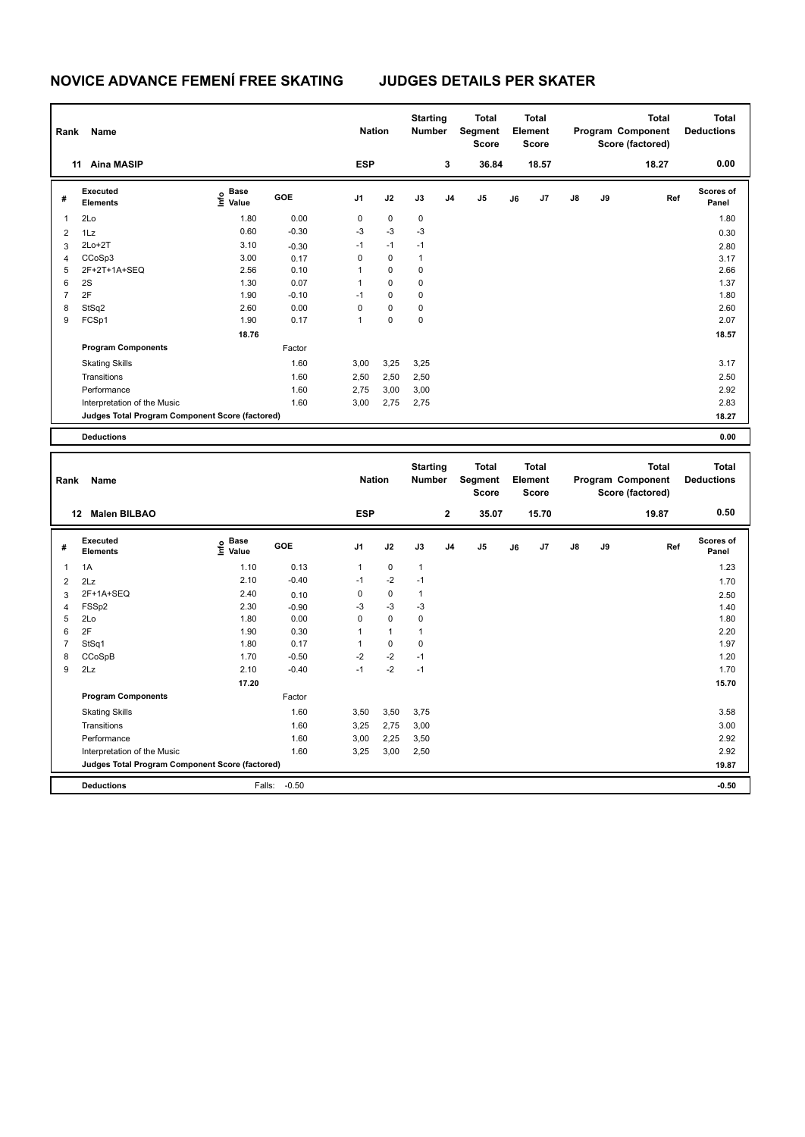| Rank           | Name                                            |                   |         | <b>Nation</b>  |             | <b>Starting</b><br><b>Number</b> |                | <b>Total</b><br><b>Segment</b><br><b>Score</b> |    | <b>Total</b><br>Element<br><b>Score</b> |               |    | <b>Total</b><br>Program Component<br>Score (factored) | <b>Total</b><br><b>Deductions</b> |
|----------------|-------------------------------------------------|-------------------|---------|----------------|-------------|----------------------------------|----------------|------------------------------------------------|----|-----------------------------------------|---------------|----|-------------------------------------------------------|-----------------------------------|
|                | 11 Aina MASIP                                   |                   |         | <b>ESP</b>     |             |                                  | 3              | 36.84                                          |    | 18.57                                   |               |    | 18.27                                                 | 0.00                              |
| #              | Executed<br><b>Elements</b>                     | e Base<br>E Value | GOE     | J <sub>1</sub> | J2          | J3                               | J <sub>4</sub> | J5                                             | J6 | J7                                      | $\mathsf{J}8$ | J9 | Ref                                                   | <b>Scores of</b><br>Panel         |
| 1              | 2Lo                                             | 1.80              | 0.00    | 0              | 0           | 0                                |                |                                                |    |                                         |               |    |                                                       | 1.80                              |
| $\overline{2}$ | 1Lz                                             | 0.60              | $-0.30$ | $-3$           | $-3$        | $-3$                             |                |                                                |    |                                         |               |    |                                                       | 0.30                              |
| 3              | $2Lo+2T$                                        | 3.10              | $-0.30$ | $-1$           | $-1$        | $-1$                             |                |                                                |    |                                         |               |    |                                                       | 2.80                              |
| $\overline{4}$ | CCoSp3                                          | 3.00              | 0.17    | $\mathbf 0$    | $\mathbf 0$ | $\mathbf{1}$                     |                |                                                |    |                                         |               |    |                                                       | 3.17                              |
| 5              | 2F+2T+1A+SEQ                                    | 2.56              | 0.10    | $\mathbf{1}$   | $\mathbf 0$ | 0                                |                |                                                |    |                                         |               |    |                                                       | 2.66                              |
| 6              | 2S                                              | 1.30              | 0.07    | $\mathbf{1}$   | $\mathbf 0$ | $\mathbf 0$                      |                |                                                |    |                                         |               |    |                                                       | 1.37                              |
| $\overline{7}$ | 2F                                              | 1.90              | $-0.10$ | $-1$           | $\mathbf 0$ | 0                                |                |                                                |    |                                         |               |    |                                                       | 1.80                              |
| 8              | StSq2                                           | 2.60              | 0.00    | $\Omega$       | $\mathbf 0$ | $\mathbf 0$                      |                |                                                |    |                                         |               |    |                                                       | 2.60                              |
| 9              | FCSp1                                           | 1.90              | 0.17    | $\mathbf{1}$   | $\mathbf 0$ | $\mathbf 0$                      |                |                                                |    |                                         |               |    |                                                       | 2.07                              |
|                |                                                 | 18.76             |         |                |             |                                  |                |                                                |    |                                         |               |    |                                                       | 18.57                             |
|                | <b>Program Components</b>                       |                   | Factor  |                |             |                                  |                |                                                |    |                                         |               |    |                                                       |                                   |
|                | <b>Skating Skills</b>                           |                   | 1.60    | 3,00           | 3,25        | 3,25                             |                |                                                |    |                                         |               |    |                                                       | 3.17                              |
|                | Transitions                                     |                   | 1.60    | 2,50           | 2,50        | 2,50                             |                |                                                |    |                                         |               |    |                                                       | 2.50                              |
|                | Performance                                     |                   | 1.60    | 2,75           | 3,00        | 3,00                             |                |                                                |    |                                         |               |    |                                                       | 2.92                              |
|                | Interpretation of the Music                     |                   | 1.60    | 3,00           | 2,75        | 2,75                             |                |                                                |    |                                         |               |    |                                                       | 2.83                              |
|                | Judges Total Program Component Score (factored) |                   |         |                |             |                                  |                |                                                |    |                                         |               |    |                                                       | 18.27                             |
|                | <b>Deductions</b>                               |                   |         |                |             |                                  |                |                                                |    |                                         |               |    |                                                       | 0.00                              |
|                |                                                 |                   |         |                |             |                                  |                |                                                |    |                                         |               |    |                                                       |                                   |
| Rank           | Name                                            |                   |         | <b>Nation</b>  |             | <b>Starting</b><br>Number        |                | <b>Total</b><br>Segment<br><b>Score</b>        |    | <b>Total</b><br>Element<br><b>Score</b> |               |    | <b>Total</b><br>Program Component<br>Score (factored) | <b>Total</b><br><b>Deductions</b> |
|                | <b>Malen BILBAO</b><br>12 <sup>12</sup>         |                   |         | <b>ESP</b>     |             |                                  | $\mathbf 2$    | 35.07                                          |    | 15.70                                   |               |    | 19.87                                                 | 0.50                              |
| #              | <b>Executed</b><br><b>Elements</b>              | e Base<br>E Value | GOE     | J <sub>1</sub> | J2          | J3                               | J <sub>4</sub> | J <sub>5</sub>                                 | J6 | J7                                      | $\mathsf{J}8$ | J9 | Ref                                                   | <b>Scores of</b><br>Panel         |

| # | LAGCULGU<br><b>Elements</b>                     | $\frac{6}{5}$ Value | GOE     | J <sub>1</sub> | J2          | J3           | J <sub>4</sub> | J <sub>5</sub> | J6 | J7 | J8 | J9 | Ref | uuuro ur<br>Panel |
|---|-------------------------------------------------|---------------------|---------|----------------|-------------|--------------|----------------|----------------|----|----|----|----|-----|-------------------|
|   | 1A                                              | 1.10                | 0.13    | 1              | $\mathbf 0$ | $\mathbf{1}$ |                |                |    |    |    |    |     | 1.23              |
| 2 | 2Lz                                             | 2.10                | $-0.40$ | $-1$           | $-2$        | $-1$         |                |                |    |    |    |    |     | 1.70              |
| 3 | 2F+1A+SEQ                                       | 2.40                | 0.10    | 0              | $\mathbf 0$ | 1            |                |                |    |    |    |    |     | 2.50              |
| 4 | FSSp2                                           | 2.30                | $-0.90$ | -3             | $-3$        | -3           |                |                |    |    |    |    |     | 1.40              |
| 5 | 2Lo                                             | 1.80                | 0.00    | 0              | $\mathbf 0$ | 0            |                |                |    |    |    |    |     | 1.80              |
| 6 | 2F                                              | 1.90                | 0.30    |                |             |              |                |                |    |    |    |    |     | 2.20              |
|   | StSq1                                           | 1.80                | 0.17    |                | 0           | 0            |                |                |    |    |    |    |     | 1.97              |
| 8 | CCoSpB                                          | 1.70                | $-0.50$ | $-2$           | $-2$        | $-1$         |                |                |    |    |    |    |     | 1.20              |
| 9 | 2Lz                                             | 2.10                | $-0.40$ | $-1$           | $-2$        | $-1$         |                |                |    |    |    |    |     | 1.70              |
|   |                                                 | 17.20               |         |                |             |              |                |                |    |    |    |    |     | 15.70             |
|   | <b>Program Components</b>                       |                     | Factor  |                |             |              |                |                |    |    |    |    |     |                   |
|   | <b>Skating Skills</b>                           |                     | 1.60    | 3,50           | 3,50        | 3,75         |                |                |    |    |    |    |     | 3.58              |
|   | Transitions                                     |                     | 1.60    | 3,25           | 2,75        | 3,00         |                |                |    |    |    |    |     | 3.00              |
|   | Performance                                     |                     | 1.60    | 3,00           | 2,25        | 3,50         |                |                |    |    |    |    |     | 2.92              |
|   | Interpretation of the Music                     |                     | 1.60    | 3,25           | 3,00        | 2,50         |                |                |    |    |    |    |     | 2.92              |
|   | Judges Total Program Component Score (factored) |                     |         |                |             |              |                |                |    |    |    |    |     | 19.87             |
|   | <b>Deductions</b>                               | Falls:              | $-0.50$ |                |             |              |                |                |    |    |    |    |     | $-0.50$           |